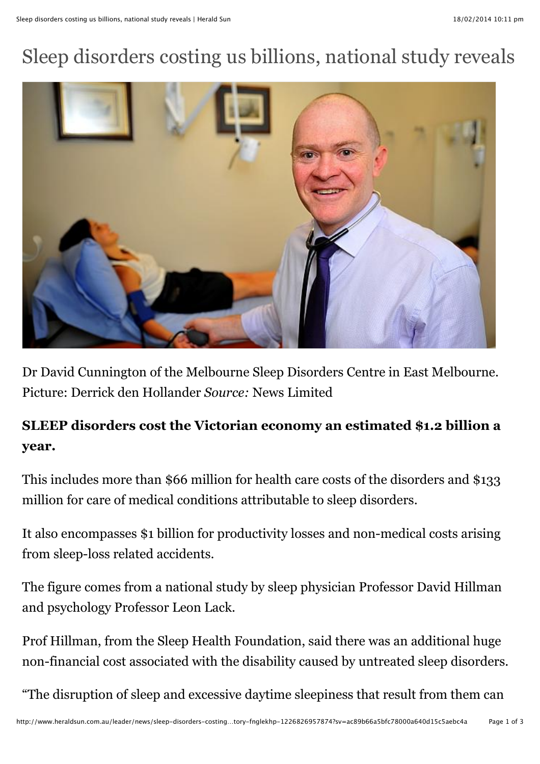## Sleep disorders costing us billions, national study reveals



Dr David Cunnington of the Melbourne Sleep Disorders Centre in East Melbourne. Picture: Derrick den Hollander *Source:* News Limited

## **SLEEP disorders cost the Victorian economy an estimated \$1.2 billion a year.**

This includes more than \$66 million for health care costs of the disorders and \$133 million for care of medical conditions attributable to sleep disorders.

It also encompasses \$1 billion for productivity losses and non-medical costs arising from sleep-loss related accidents.

The figure comes from a national study by sleep physician Professor David Hillman and psychology Professor Leon Lack.

Prof Hillman, from the Sleep Health Foundation, said there was an additional huge non-financial cost associated with the disability caused by untreated sleep disorders.

"The disruption of sleep and excessive daytime sleepiness that result from them can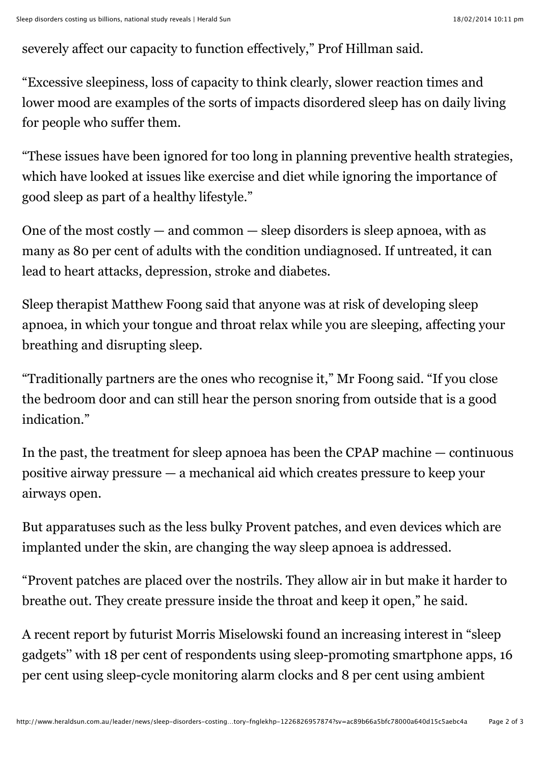severely affect our capacity to function effectively," Prof Hillman said.

"Excessive sleepiness, loss of capacity to think clearly, slower reaction times and lower mood are examples of the sorts of impacts disordered sleep has on daily living for people who suffer them.

"These issues have been ignored for too long in planning preventive health strategies, which have looked at issues like exercise and diet while ignoring the importance of good sleep as part of a healthy lifestyle."

One of the most costly  $-$  and common  $-$  sleep disorders is sleep apnoea, with as many as 80 per cent of adults with the condition undiagnosed. If untreated, it can lead to heart attacks, depression, stroke and diabetes.

Sleep therapist Matthew Foong said that anyone was at risk of developing sleep apnoea, in which your tongue and throat relax while you are sleeping, affecting your breathing and disrupting sleep.

"Traditionally partners are the ones who recognise it," Mr Foong said. "If you close the bedroom door and can still hear the person snoring from outside that is a good indication."

In the past, the treatment for sleep apnoea has been the CPAP machine — continuous positive airway pressure — a mechanical aid which creates pressure to keep your airways open.

But apparatuses such as the less bulky Provent patches, and even devices which are implanted under the skin, are changing the way sleep apnoea is addressed.

"Provent patches are placed over the nostrils. They allow air in but make it harder to breathe out. They create pressure inside the throat and keep it open," he said.

A recent report by futurist Morris Miselowski found an increasing interest in "sleep gadgets'' with 18 per cent of respondents using sleep-promoting smartphone apps, 16 per cent using sleep-cycle monitoring alarm clocks and 8 per cent using ambient